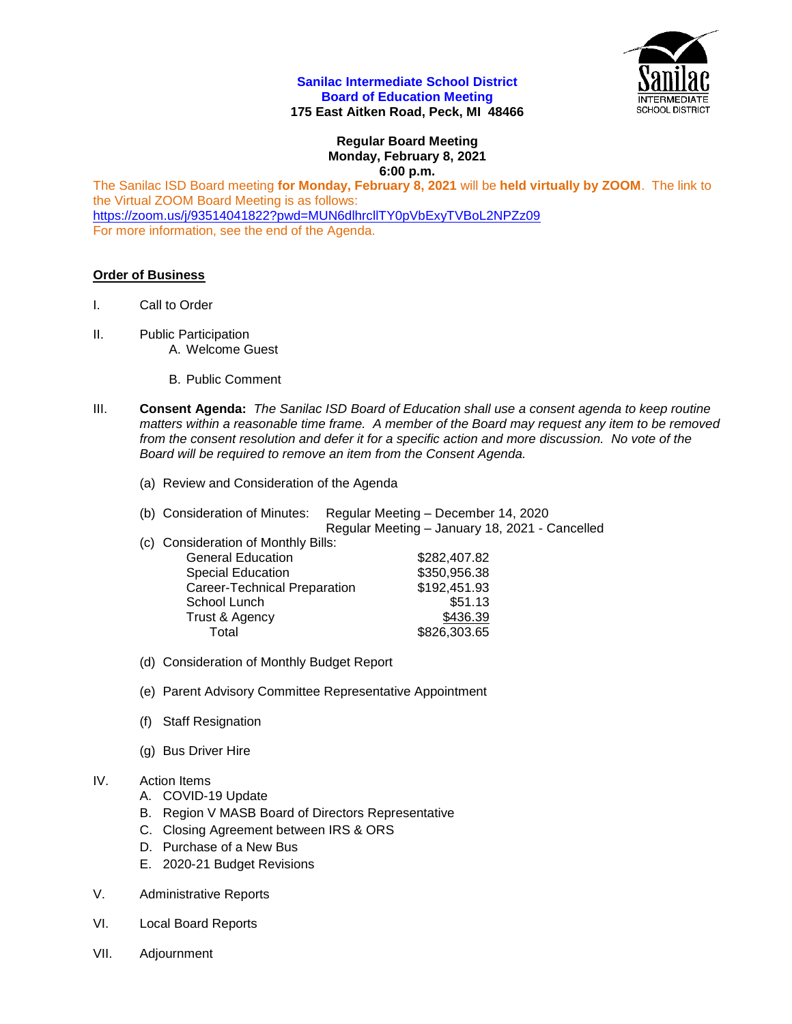## **Sanilac Intermediate School District Board of Education Meeting 175 East Aitken Road, Peck, MI 48466**

**Regular Board Meeting Monday, February 8, 2021 6:00 p.m.**

The Sanilac ISD Board meeting **for Monday, February 8, 2021** will be **held virtually by ZOOM**. The link to the Virtual ZOOM Board Meeting is as follows: <https://zoom.us/j/93514041822?pwd=MUN6dlhrcllTY0pVbExyTVBoL2NPZz09> For more information, see the end of the Agenda.

## **Order of Business**

- I. Call to Order
- II. Public Participation A. Welcome Guest
	-
	- B. Public Comment
- III. **Consent Agenda:** *The Sanilac ISD Board of Education shall use a consent agenda to keep routine matters within a reasonable time frame. A member of the Board may request any item to be removed from the consent resolution and defer it for a specific action and more discussion. No vote of the Board will be required to remove an item from the Consent Agenda.* 
	- (a) Review and Consideration of the Agenda

| (b) Consideration of Minutes:                                                              | Regular Meeting – December 14, 2020            |
|--------------------------------------------------------------------------------------------|------------------------------------------------|
|                                                                                            | Regular Meeting - January 18, 2021 - Cancelled |
| $\mathcal{L}(\mathcal{N})$ . The set of the set of $\mathbf{N}$ is the set of $\mathbf{N}$ |                                                |

| c) Consideration of Monthly Bills: |              |
|------------------------------------|--------------|
| <b>General Education</b>           | \$282,407.82 |
| <b>Special Education</b>           | \$350,956.38 |
| Career-Technical Preparation       | \$192,451.93 |
| School Lunch                       | \$51.13      |
| Trust & Agency                     | \$436.39     |
| Total                              | \$826,303.65 |

- (d) Consideration of Monthly Budget Report
- (e) Parent Advisory Committee Representative Appointment
- (f) Staff Resignation
- (g) Bus Driver Hire

## IV. Action Items

- A. COVID-19 Update
- B. Region V MASB Board of Directors Representative
- C. Closing Agreement between IRS & ORS
- D. Purchase of a New Bus
- E. 2020-21 Budget Revisions
- V. Administrative Reports
- VI. Local Board Reports
- VII. Adjournment